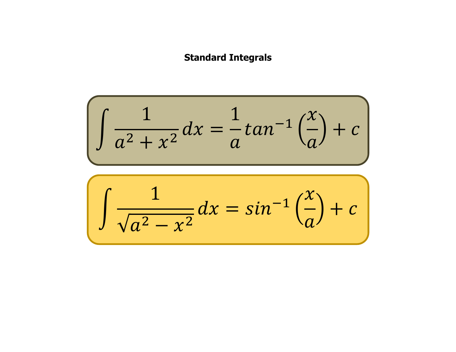## **Standard Integrals**

$$
\int \frac{1}{a^2 + x^2} dx = \frac{1}{a} \tan^{-1} \left(\frac{x}{a}\right) + c
$$

$$
\int \frac{1}{\sqrt{a^2 - x^2}} dx = \sin^{-1}\left(\frac{x}{a}\right) + c
$$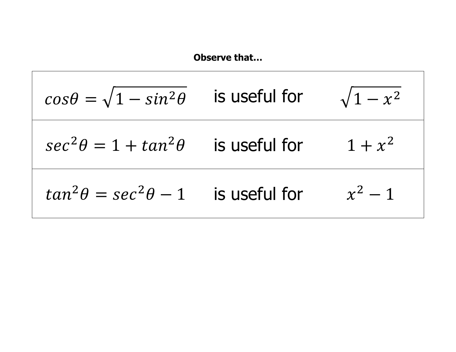$$
\cos \theta = \sqrt{1 - \sin^2 \theta}
$$
 is useful for  
\n
$$
\sec^2 \theta = 1 + \tan^2 \theta
$$
 is useful for  
\n
$$
\tan^2 \theta = \sec^2 \theta - 1
$$
 is useful for  
\n
$$
x^2 - 1
$$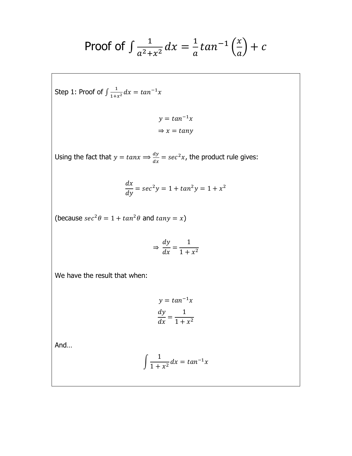Proof of 
$$
\int \frac{1}{a^2 + x^2} dx = \frac{1}{a} \tan^{-1} \left( \frac{x}{a} \right) + c
$$

Step 1: Proof of 
$$
\int \frac{1}{1+x^2} dx = \tan^{-1} x
$$

$$
y = \tan^{-1}x
$$

$$
\Rightarrow x = \tan y
$$

Using the fact that  $y = \tan x \Longrightarrow \frac{dy}{dx}$  $\frac{dy}{dx}$  =  $sec^2x$ , the product rule gives:

$$
\frac{dx}{dy} = \sec^2 y = 1 + \tan^2 y = 1 + x^2
$$

(because  $sec^2 \theta = 1 + tan^2 \theta$  and  $tan y = x$ )

$$
\Rightarrow \frac{dy}{dx} = \frac{1}{1 + x^2}
$$

We have the result that when:

$$
y = \tan^{-1} x
$$

$$
\frac{dy}{dx} = \frac{1}{1 + x^2}
$$

And…

$$
\int \frac{1}{1+x^2} dx = \tan^{-1}x
$$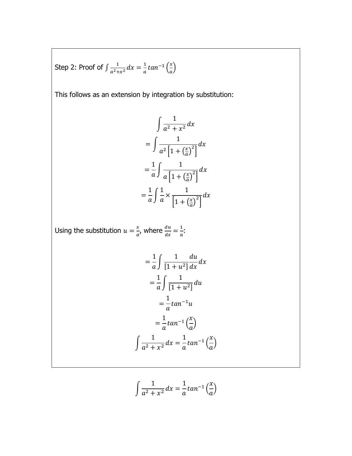Step 2: Proof of  $\int \frac{1}{a^2 + b^2}$  $\frac{1}{a^2+x^2}dx = \frac{1}{a}$  $\frac{1}{a}$ tan<sup>-1</sup> $\left(\frac{x}{a}\right)$  $\frac{x}{a}$ 

This follows as an extension by integration by substitution:

$$
\int \frac{1}{a^2 + x^2} dx
$$
  
= 
$$
\int \frac{1}{a^2 \left[1 + \left(\frac{x}{a}\right)^2\right]} dx
$$
  
= 
$$
\frac{1}{a} \int \frac{1}{a \left[1 + \left(\frac{x}{a}\right)^2\right]} dx
$$
  
= 
$$
\frac{1}{a} \int \frac{1}{a} \times \frac{1}{\left[1 + \left(\frac{x}{a}\right)^2\right]} dx
$$

Using the substitution  $u = \frac{x}{x}$  $\frac{x}{a}$ , where  $\frac{du}{dx} = \frac{1}{a}$  $\frac{1}{a}$ :

$$
= \frac{1}{a} \int \frac{1}{[1+u^2]} \frac{du}{dx} dx
$$

$$
= \frac{1}{a} \int \frac{1}{[1+u^2]} du
$$

$$
= \frac{1}{a} \tan^{-1} u
$$

$$
= \frac{1}{a} \tan^{-1} \left(\frac{x}{a}\right)
$$

$$
\int \frac{1}{a^2 + x^2} dx = \frac{1}{a} \tan^{-1} \left(\frac{x}{a}\right)
$$

$$
\int \frac{1}{a^2 + x^2} dx = \frac{1}{a} \tan^{-1} \left(\frac{x}{a}\right)
$$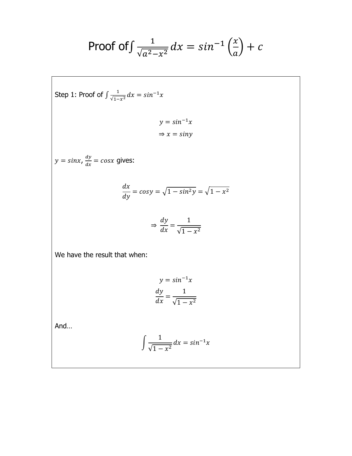Proof of 
$$
\int \frac{1}{\sqrt{a^2 - x^2}} dx = \sin^{-1} \left( \frac{x}{a} \right) + c
$$

Step 1: Proof of 
$$
\int \frac{1}{\sqrt{1-x^2}} dx = \sin^{-1}x
$$
  
\n $y = \sin^{-1}x$   
\n $\Rightarrow x = \sin y$   
\n $y = \sin x$ ,  $\frac{dy}{dx} = \cos x$  gives:  
\n
$$
\frac{dx}{dy} = \cos y = \sqrt{1 - \sin^2 y} = \sqrt{1 - x^2}
$$
\n
$$
\Rightarrow \frac{dy}{dx} = \frac{1}{\sqrt{1 - x^2}}
$$
\nWe have the result that when:  
\n $y = \sin^{-1}x$   
\n
$$
\frac{dy}{dx} = \frac{1}{\sqrt{1 - x^2}}
$$

And…

$$
\int \frac{1}{\sqrt{1 - x^2}} dx = \sin^{-1} x
$$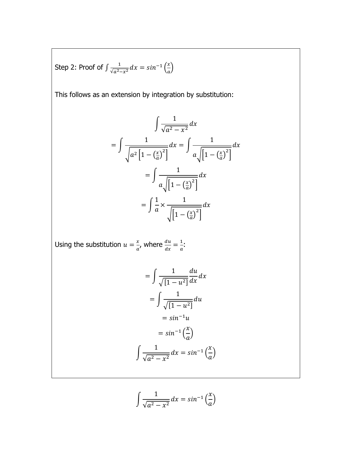Step 2: Proof of  $\int \frac{1}{\sqrt{x^2}}$  $\frac{1}{\sqrt{a^2-x^2}}dx = \sin^{-1}\left(\frac{x}{a}\right)$  $\frac{x}{a}$ 

This follows as an extension by integration by substitution:

$$
\int \frac{1}{\sqrt{a^2 - x^2}} dx
$$
  
= 
$$
\int \frac{1}{\sqrt{a^2 \left[1 - \left(\frac{x}{a}\right)^2\right]}} dx = \int \frac{1}{a\sqrt{\left[1 - \left(\frac{x}{a}\right)^2\right]}} dx
$$
  
= 
$$
\int \frac{1}{a\sqrt{\left[1 - \left(\frac{x}{a}\right)^2\right]}} dx
$$
  
= 
$$
\int \frac{1}{a} \times \frac{1}{\sqrt{\left[1 - \left(\frac{x}{a}\right)^2\right]}} dx
$$

Using the substitution  $u = \frac{x}{x}$  $\frac{x}{a}$ , where  $\frac{du}{dx} = \frac{1}{a}$  $\frac{1}{a}$ :

$$
= \int \frac{1}{\sqrt{[1 - u^2]}} \frac{du}{dx} dx
$$

$$
= \int \frac{1}{\sqrt{[1 - u^2]}} du
$$

$$
= \sin^{-1} u
$$

$$
= \sin^{-1} \left(\frac{x}{a}\right)
$$

$$
\int \frac{1}{\sqrt{a^2 - x^2}} dx = \sin^{-1} \left(\frac{x}{a}\right)
$$

$$
\int \frac{1}{\sqrt{a^2 - x^2}} dx = \sin^{-1} \left(\frac{x}{a}\right)
$$